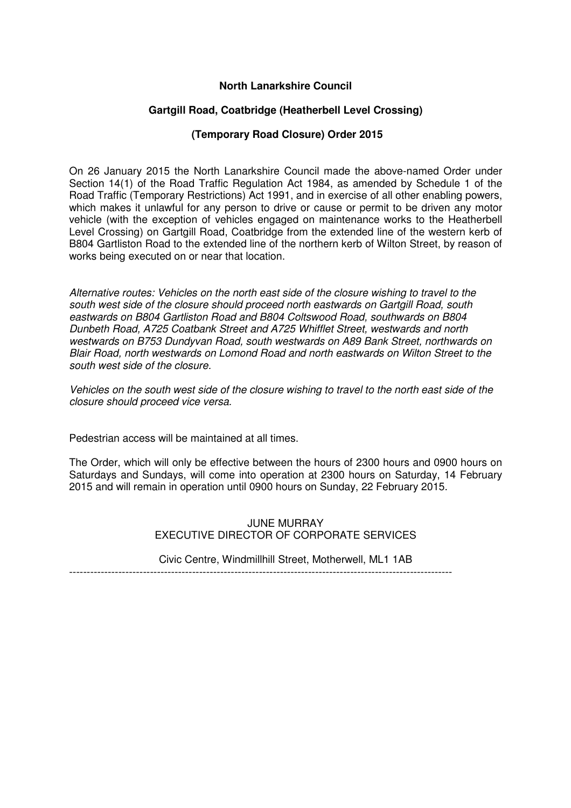## **North Lanarkshire Council**

# **Gartgill Road, Coatbridge (Heatherbell Level Crossing)**

## **(Temporary Road Closure) Order 2015**

On 26 January 2015 the North Lanarkshire Council made the above-named Order under Section 14(1) of the Road Traffic Regulation Act 1984, as amended by Schedule 1 of the Road Traffic (Temporary Restrictions) Act 1991, and in exercise of all other enabling powers, which makes it unlawful for any person to drive or cause or permit to be driven any motor vehicle (with the exception of vehicles engaged on maintenance works to the Heatherbell Level Crossing) on Gartgill Road, Coatbridge from the extended line of the western kerb of B804 Gartliston Road to the extended line of the northern kerb of Wilton Street, by reason of works being executed on or near that location.

Alternative routes: Vehicles on the north east side of the closure wishing to travel to the south west side of the closure should proceed north eastwards on Gartgill Road, south eastwards on B804 Gartliston Road and B804 Coltswood Road, southwards on B804 Dunbeth Road, A725 Coatbank Street and A725 Whifflet Street, westwards and north westwards on B753 Dundyvan Road, south westwards on A89 Bank Street, northwards on Blair Road, north westwards on Lomond Road and north eastwards on Wilton Street to the south west side of the closure.

Vehicles on the south west side of the closure wishing to travel to the north east side of the closure should proceed vice versa.

Pedestrian access will be maintained at all times.

The Order, which will only be effective between the hours of 2300 hours and 0900 hours on Saturdays and Sundays, will come into operation at 2300 hours on Saturday, 14 February 2015 and will remain in operation until 0900 hours on Sunday, 22 February 2015.

> JUNE MURRAY EXECUTIVE DIRECTOR OF CORPORATE SERVICES

Civic Centre, Windmillhill Street, Motherwell, ML1 1AB -------------------------------------------------------------------------------------------------------------